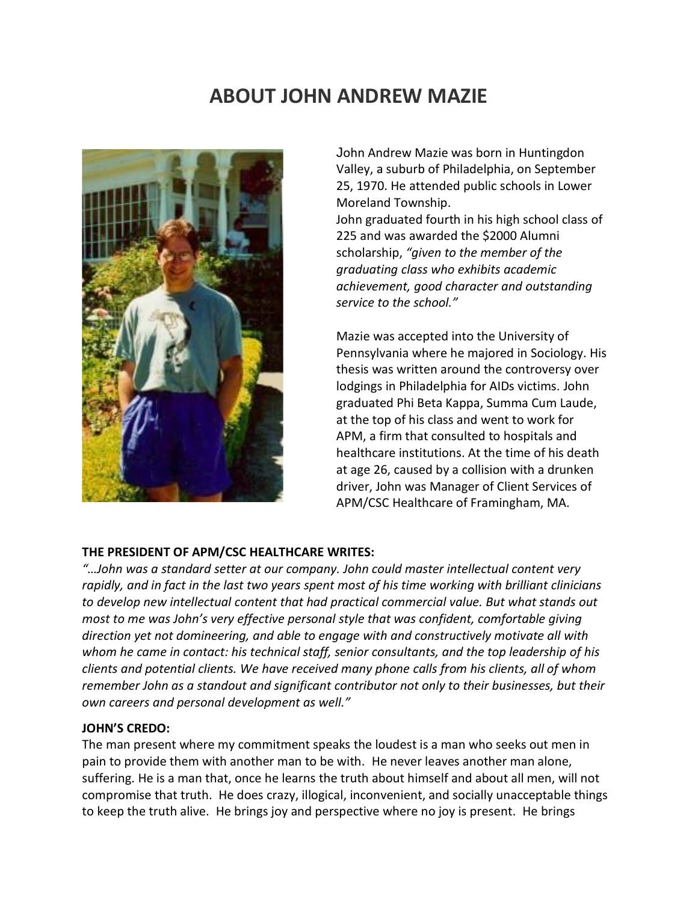## **ABOUT JOHN ANDREW MAZIE**



John Andrew Mazie was born in Huntingdon Valley, a suburb of Philadelphia, on September 25, 1970. He attended public schools in Lower Moreland Township.

John graduated fourth in his high school class of 225 and was awarded the \$2000 Alumni scholarship, *"given to the member of the graduating class who exhibits academic achievement, good character and outstanding service to the school."*

Mazie was accepted into the University of Pennsylvania where he majored in Sociology. His thesis was written around the controversy over lodgings in Philadelphia for AIDs victims. John graduated Phi Beta Kappa, Summa Cum Laude, at the top of his class and went to work for APM, a firm that consulted to hospitals and healthcare institutions. At the time of his death at age 26, caused by a collision with a drunken driver, John was Manager of Client Services of APM/CSC Healthcare of Framingham, MA.

## **THE PRESIDENT OF APM/CSC HEALTHCARE WRITES:**

*"…John was a standard setter at our company. John could master intellectual content very* rapidly, and in fact in the last two years spent most of his time working with brilliant clinicians *to develop new intellectual content that had practical commercial value. But what stands out most to me was John's very effective personal style that was confident, comfortable giving direction yet not domineering, and able to engage with and constructively motivate all with whom he came in contact: his technical staff, senior consultants, and the top leadership of his clients and potential clients. We have received many phone calls from his clients, all of whom remember John as a standout and significant contributor not only to their businesses, but their own careers and personal development as well."*

## **JOHN'S CREDO:**

The man present where my commitment speaks the loudest is a man who seeks out men in pain to provide them with another man to be with. He never leaves another man alone, suffering. He is a man that, once he learns the truth about himself and about all men, will not compromise that truth. He does crazy, illogical, inconvenient, and socially unacceptable things to keep the truth alive. He brings joy and perspective where no joy is present. He brings